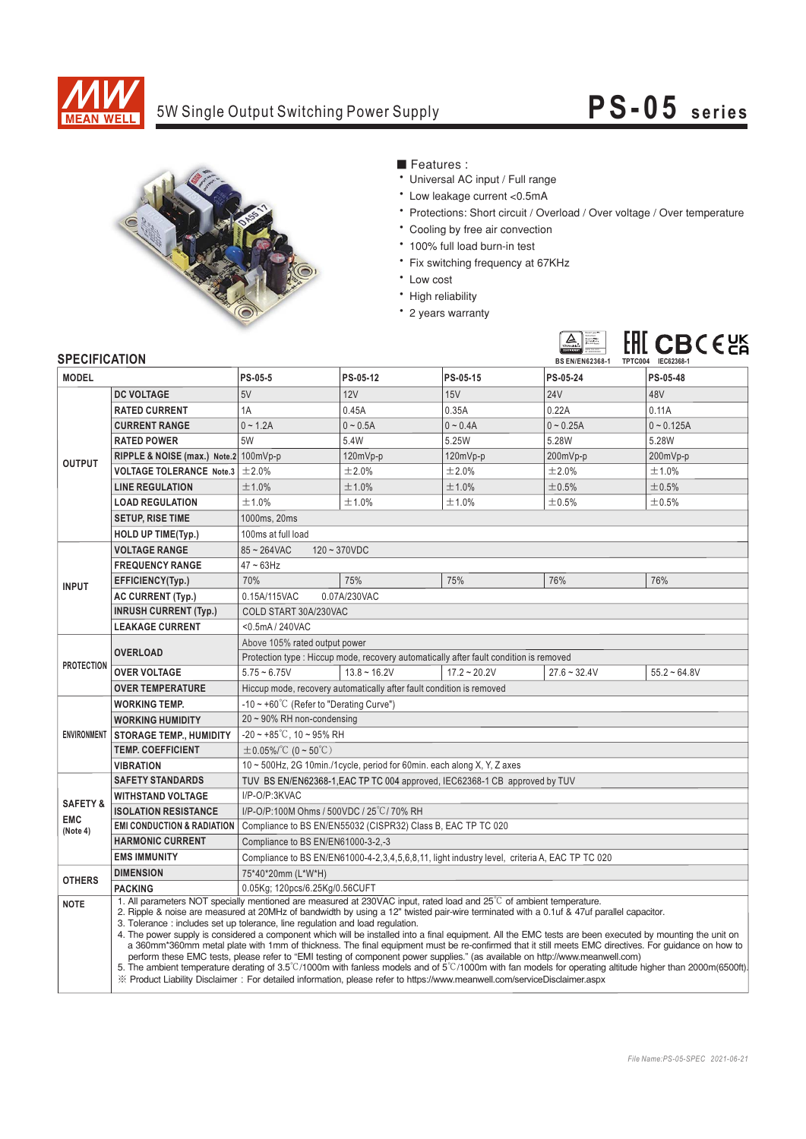

# 5W Single Output Switching Power Supply **PS-05 series**



### ■ Features :

- Universal AC input / Full range
- \* Low leakage current <0.5mA
- Protections: Short circuit / Overload / Over voltage / Over temperature
- \* Cooling by free air convection
- \* 100% full load burn-in test
- Fix switching frequency at 67KHz
- Low cost
- High reliability
- \* 2 years warranty



## **CDECIFICATION**

| <b>SPECIFICATION</b>                          |                                                                                                                                                                                                                                                                                                                                                                                                                                                                                                                                                                                                                                                                                                                                                                                                                                                                                                                                                                           | <b>BS EN/EN62368-1</b><br>TPTC004 IEC62368-1                                                                                                                      |                |                      |                |                |
|-----------------------------------------------|---------------------------------------------------------------------------------------------------------------------------------------------------------------------------------------------------------------------------------------------------------------------------------------------------------------------------------------------------------------------------------------------------------------------------------------------------------------------------------------------------------------------------------------------------------------------------------------------------------------------------------------------------------------------------------------------------------------------------------------------------------------------------------------------------------------------------------------------------------------------------------------------------------------------------------------------------------------------------|-------------------------------------------------------------------------------------------------------------------------------------------------------------------|----------------|----------------------|----------------|----------------|
| <b>MODEL</b>                                  |                                                                                                                                                                                                                                                                                                                                                                                                                                                                                                                                                                                                                                                                                                                                                                                                                                                                                                                                                                           | PS-05-5                                                                                                                                                           | PS-05-12       | PS-05-15             | PS-05-24       | PS-05-48       |
| <b>OUTPUT</b>                                 | <b>DC VOLTAGE</b>                                                                                                                                                                                                                                                                                                                                                                                                                                                                                                                                                                                                                                                                                                                                                                                                                                                                                                                                                         | 5V                                                                                                                                                                | 12V            | 15V                  | <b>24V</b>     | 48V            |
|                                               | <b>RATED CURRENT</b>                                                                                                                                                                                                                                                                                                                                                                                                                                                                                                                                                                                                                                                                                                                                                                                                                                                                                                                                                      | 1A                                                                                                                                                                | 0.45A          | 0.35A                | 0.22A          | 0.11A          |
|                                               | <b>CURRENT RANGE</b>                                                                                                                                                                                                                                                                                                                                                                                                                                                                                                                                                                                                                                                                                                                                                                                                                                                                                                                                                      | $0 - 1.2A$                                                                                                                                                        | $0 - 0.5A$     | $0 - 0.4A$           | $0 - 0.25A$    | $0 - 0.125A$   |
|                                               | <b>RATED POWER</b>                                                                                                                                                                                                                                                                                                                                                                                                                                                                                                                                                                                                                                                                                                                                                                                                                                                                                                                                                        | 5W                                                                                                                                                                | 5.4W           | 5.25W                | 5.28W          | 5.28W          |
|                                               | RIPPLE & NOISE (max.) Note.2 100mVp-p                                                                                                                                                                                                                                                                                                                                                                                                                                                                                                                                                                                                                                                                                                                                                                                                                                                                                                                                     |                                                                                                                                                                   | $120mVp-p$     | 120mVp-p             | 200mVp-p       | 200mVp-p       |
|                                               | <b>VOLTAGE TOLERANCE Note.3</b>                                                                                                                                                                                                                                                                                                                                                                                                                                                                                                                                                                                                                                                                                                                                                                                                                                                                                                                                           | ±2.0%                                                                                                                                                             | ±2.0%          | ±2.0%                | ±2.0%          | ±1.0%          |
|                                               | <b>LINE REGULATION</b>                                                                                                                                                                                                                                                                                                                                                                                                                                                                                                                                                                                                                                                                                                                                                                                                                                                                                                                                                    | ±1.0%                                                                                                                                                             | ±1.0%          | ±1.0%                | ±0.5%          | ±0.5%          |
|                                               | <b>LOAD REGULATION</b>                                                                                                                                                                                                                                                                                                                                                                                                                                                                                                                                                                                                                                                                                                                                                                                                                                                                                                                                                    | ±1.0%                                                                                                                                                             | ±1.0%          | ±1.0%                | ±0.5%          | ±0.5%          |
|                                               | <b>SETUP, RISE TIME</b>                                                                                                                                                                                                                                                                                                                                                                                                                                                                                                                                                                                                                                                                                                                                                                                                                                                                                                                                                   | 1000ms, 20ms                                                                                                                                                      |                |                      |                |                |
|                                               | <b>HOLD UP TIME(Typ.)</b>                                                                                                                                                                                                                                                                                                                                                                                                                                                                                                                                                                                                                                                                                                                                                                                                                                                                                                                                                 | 100ms at full load                                                                                                                                                |                |                      |                |                |
| <b>INPUT</b>                                  | <b>VOLTAGE RANGE</b>                                                                                                                                                                                                                                                                                                                                                                                                                                                                                                                                                                                                                                                                                                                                                                                                                                                                                                                                                      | $85 - 264$ VAC<br>$120 - 370VDC$                                                                                                                                  |                |                      |                |                |
|                                               | <b>FREQUENCY RANGE</b>                                                                                                                                                                                                                                                                                                                                                                                                                                                                                                                                                                                                                                                                                                                                                                                                                                                                                                                                                    | $47 \sim 63$ Hz                                                                                                                                                   |                |                      |                |                |
|                                               | EFFICIENCY(Typ.)                                                                                                                                                                                                                                                                                                                                                                                                                                                                                                                                                                                                                                                                                                                                                                                                                                                                                                                                                          | 70%                                                                                                                                                               | 75%            | 75%                  | 76%            | 76%            |
|                                               | <b>AC CURRENT (Typ.)</b>                                                                                                                                                                                                                                                                                                                                                                                                                                                                                                                                                                                                                                                                                                                                                                                                                                                                                                                                                  | 0.15A/115VAC<br>0.07A/230VAC                                                                                                                                      |                |                      |                |                |
|                                               | <b>INRUSH CURRENT (Typ.)</b>                                                                                                                                                                                                                                                                                                                                                                                                                                                                                                                                                                                                                                                                                                                                                                                                                                                                                                                                              | COLD START 30A/230VAC                                                                                                                                             |                |                      |                |                |
|                                               | <b>LEAKAGE CURRENT</b>                                                                                                                                                                                                                                                                                                                                                                                                                                                                                                                                                                                                                                                                                                                                                                                                                                                                                                                                                    | <0.5mA / 240VAC                                                                                                                                                   |                |                      |                |                |
| <b>PROTECTION</b>                             | <b>OVERLOAD</b>                                                                                                                                                                                                                                                                                                                                                                                                                                                                                                                                                                                                                                                                                                                                                                                                                                                                                                                                                           | Above 105% rated output power                                                                                                                                     |                |                      |                |                |
|                                               |                                                                                                                                                                                                                                                                                                                                                                                                                                                                                                                                                                                                                                                                                                                                                                                                                                                                                                                                                                           | Protection type : Hiccup mode, recovery automatically after fault condition is removed                                                                            |                |                      |                |                |
|                                               | <b>OVER VOLTAGE</b>                                                                                                                                                                                                                                                                                                                                                                                                                                                                                                                                                                                                                                                                                                                                                                                                                                                                                                                                                       | $5.75 - 6.75V$                                                                                                                                                    | $13.8 - 16.2V$ | $17.2 \approx 20.2V$ | $27.6 - 32.4V$ | $55.2 - 64.8V$ |
|                                               | <b>OVER TEMPERATURE</b>                                                                                                                                                                                                                                                                                                                                                                                                                                                                                                                                                                                                                                                                                                                                                                                                                                                                                                                                                   | Hiccup mode, recovery automatically after fault condition is removed                                                                                              |                |                      |                |                |
| <b>ENVIRONMENT</b>                            | <b>WORKING TEMP.</b>                                                                                                                                                                                                                                                                                                                                                                                                                                                                                                                                                                                                                                                                                                                                                                                                                                                                                                                                                      | $-10 \sim +60^{\circ}$ C (Refer to "Derating Curve")                                                                                                              |                |                      |                |                |
|                                               | <b>WORKING HUMIDITY</b>                                                                                                                                                                                                                                                                                                                                                                                                                                                                                                                                                                                                                                                                                                                                                                                                                                                                                                                                                   | 20 ~ 90% RH non-condensing                                                                                                                                        |                |                      |                |                |
|                                               | <b>STORAGE TEMP., HUMIDITY</b>                                                                                                                                                                                                                                                                                                                                                                                                                                                                                                                                                                                                                                                                                                                                                                                                                                                                                                                                            | $-20 \sim +85^{\circ}$ C, 10 ~ 95% RH                                                                                                                             |                |                      |                |                |
|                                               | <b>TEMP. COEFFICIENT</b>                                                                                                                                                                                                                                                                                                                                                                                                                                                                                                                                                                                                                                                                                                                                                                                                                                                                                                                                                  | $\pm$ 0.05%/°C (0 ~ 50°C)                                                                                                                                         |                |                      |                |                |
|                                               | <b>VIBRATION</b>                                                                                                                                                                                                                                                                                                                                                                                                                                                                                                                                                                                                                                                                                                                                                                                                                                                                                                                                                          | 10 ~ 500Hz, 2G 10min./1cycle, period for 60min. each along X, Y, Z axes                                                                                           |                |                      |                |                |
| <b>SAFETY &amp;</b><br><b>EMC</b><br>(Note 4) | <b>SAFETY STANDARDS</b>                                                                                                                                                                                                                                                                                                                                                                                                                                                                                                                                                                                                                                                                                                                                                                                                                                                                                                                                                   | TUV BS EN/EN62368-1, EAC TP TC 004 approved, IEC62368-1 CB approved by TUV                                                                                        |                |                      |                |                |
|                                               | <b>WITHSTAND VOLTAGE</b>                                                                                                                                                                                                                                                                                                                                                                                                                                                                                                                                                                                                                                                                                                                                                                                                                                                                                                                                                  | I/P-O/P:3KVAC                                                                                                                                                     |                |                      |                |                |
|                                               | <b>ISOLATION RESISTANCE</b>                                                                                                                                                                                                                                                                                                                                                                                                                                                                                                                                                                                                                                                                                                                                                                                                                                                                                                                                               | I/P-O/P:100M Ohms / 500VDC / 25°C / 70% RH                                                                                                                        |                |                      |                |                |
|                                               | <b>EMI CONDUCTION &amp; RADIATION</b>                                                                                                                                                                                                                                                                                                                                                                                                                                                                                                                                                                                                                                                                                                                                                                                                                                                                                                                                     | Compliance to BS EN/EN55032 (CISPR32) Class B, EAC TP TC 020                                                                                                      |                |                      |                |                |
|                                               | <b>HARMONIC CURRENT</b>                                                                                                                                                                                                                                                                                                                                                                                                                                                                                                                                                                                                                                                                                                                                                                                                                                                                                                                                                   | Compliance to BS EN/EN61000-3-2,-3                                                                                                                                |                |                      |                |                |
|                                               | <b>EMS IMMUNITY</b>                                                                                                                                                                                                                                                                                                                                                                                                                                                                                                                                                                                                                                                                                                                                                                                                                                                                                                                                                       | Compliance to BS EN/EN61000-4-2,3,4,5,6,8,11, light industry level, criteria A, EAC TP TC 020                                                                     |                |                      |                |                |
| <b>OTHERS</b>                                 | <b>DIMENSION</b>                                                                                                                                                                                                                                                                                                                                                                                                                                                                                                                                                                                                                                                                                                                                                                                                                                                                                                                                                          | 75*40*20mm (L*W*H)                                                                                                                                                |                |                      |                |                |
|                                               | <b>PACKING</b>                                                                                                                                                                                                                                                                                                                                                                                                                                                                                                                                                                                                                                                                                                                                                                                                                                                                                                                                                            | 0.05Kg; 120pcs/6.25Kg/0.56CUFT<br>1. All parameters NOT specially mentioned are measured at 230VAC input, rated load and 25 <sup>°C</sup> of ambient temperature. |                |                      |                |                |
| <b>NOTE</b>                                   | 2. Ripple & noise are measured at 20MHz of bandwidth by using a 12" twisted pair-wire terminated with a 0.1uf & 47uf parallel capacitor.<br>3. Tolerance: includes set up tolerance, line regulation and load regulation.<br>4. The power supply is considered a component which will be installed into a final equipment. All the EMC tests are been executed by mounting the unit on<br>a 360mm*360mm metal plate with 1mm of thickness. The final equipment must be re-confirmed that it still meets EMC directives. For quidance on how to<br>perform these EMC tests, please refer to "EMI testing of component power supplies." (as available on http://www.meanwell.com)<br>5. The ambient temperature derating of 3.5°C/1000m with fanless models and of 5°C/1000m with fan models for operating altitude higher than 2000m(6500ft).<br>X Product Liability Disclaimer: For detailed information, please refer to https://www.meanwell.com/serviceDisclaimer.aspx |                                                                                                                                                                   |                |                      |                |                |